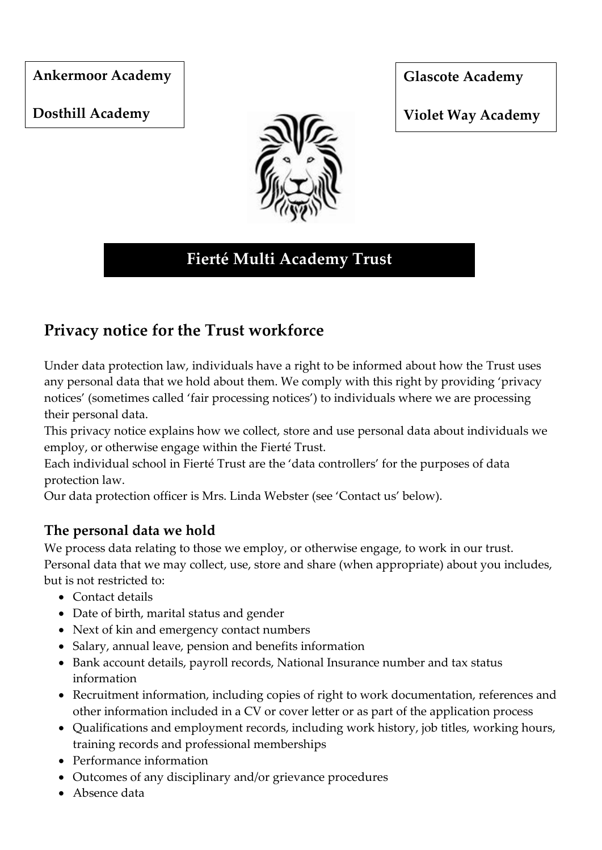**Ankermoor Academy** 

**Dosthill Academy** 

**Glascote Academy** 

**Violet Way Academy** 



# **Fierté Multi Academy Trust**

# **Privacy notice for the Trust workforce**

Under data protection law, individuals have a right to be informed about how the Trust uses any personal data that we hold about them. We comply with this right by providing 'privacy notices' (sometimes called 'fair processing notices') to individuals where we are processing their personal data.

This privacy notice explains how we collect, store and use personal data about individuals we employ, or otherwise engage within the Fierté Trust.

Each individual school in Fierté Trust are the 'data controllers' for the purposes of data protection law.

Our data protection officer is Mrs. Linda Webster (see 'Contact us' below).

#### **The personal data we hold**

We process data relating to those we employ, or otherwise engage, to work in our trust. Personal data that we may collect, use, store and share (when appropriate) about you includes, but is not restricted to:

- Contact details
- Date of birth, marital status and gender
- Next of kin and emergency contact numbers
- Salary, annual leave, pension and benefits information
- Bank account details, payroll records, National Insurance number and tax status information
- Recruitment information, including copies of right to work documentation, references and other information included in a CV or cover letter or as part of the application process
- Qualifications and employment records, including work history, job titles, working hours, training records and professional memberships
- Performance information
- Outcomes of any disciplinary and/or grievance procedures
- Absence data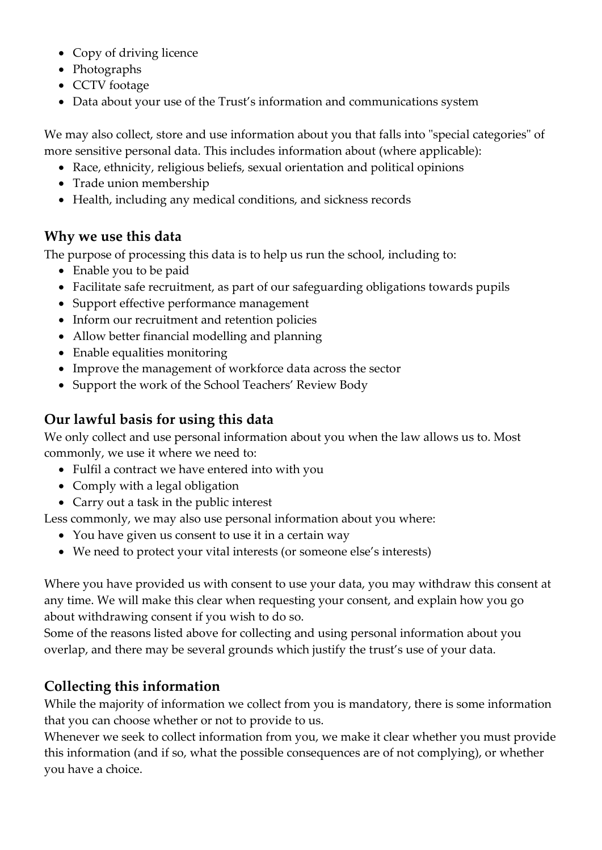- Copy of driving licence
- Photographs
- CCTV footage
- Data about your use of the Trust's information and communications system

We may also collect, store and use information about you that falls into "special categories" of more sensitive personal data. This includes information about (where applicable):

- Race, ethnicity, religious beliefs, sexual orientation and political opinions
- Trade union membership
- Health, including any medical conditions, and sickness records

#### **Why we use this data**

The purpose of processing this data is to help us run the school, including to:

- Enable you to be paid
- Facilitate safe recruitment, as part of our safeguarding obligations towards pupils
- Support effective performance management
- Inform our recruitment and retention policies
- Allow better financial modelling and planning
- Enable equalities monitoring
- Improve the management of workforce data across the sector
- Support the work of the School Teachers' Review Body

## **Our lawful basis for using this data**

We only collect and use personal information about you when the law allows us to. Most commonly, we use it where we need to:

- Fulfil a contract we have entered into with you
- Comply with a legal obligation
- Carry out a task in the public interest

Less commonly, we may also use personal information about you where:

- You have given us consent to use it in a certain way
- We need to protect your vital interests (or someone else's interests)

Where you have provided us with consent to use your data, you may withdraw this consent at any time. We will make this clear when requesting your consent, and explain how you go about withdrawing consent if you wish to do so.

Some of the reasons listed above for collecting and using personal information about you overlap, and there may be several grounds which justify the trust's use of your data.

# **Collecting this information**

While the majority of information we collect from you is mandatory, there is some information that you can choose whether or not to provide to us.

Whenever we seek to collect information from you, we make it clear whether you must provide this information (and if so, what the possible consequences are of not complying), or whether you have a choice.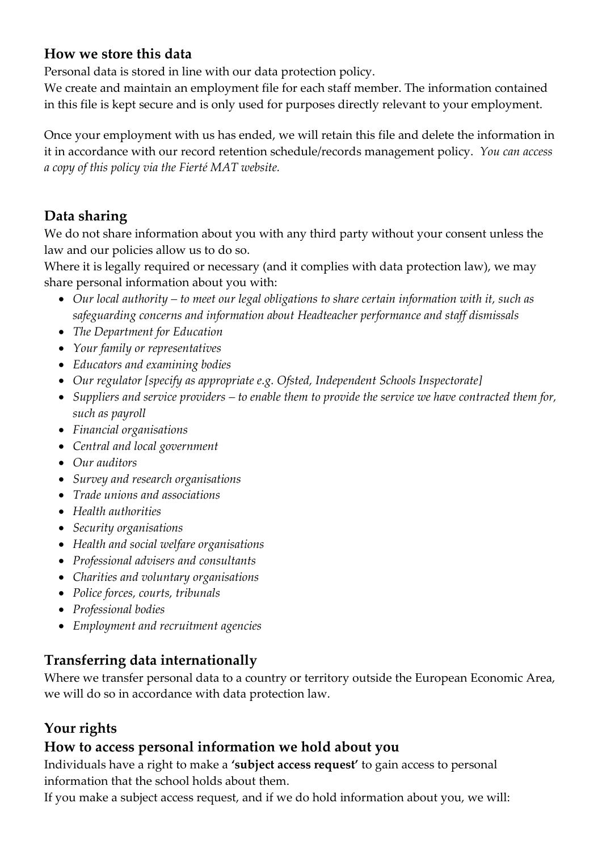#### **How we store this data**

Personal data is stored in line with our data protection policy.

We create and maintain an employment file for each staff member. The information contained in this file is kept secure and is only used for purposes directly relevant to your employment.

Once your employment with us has ended, we will retain this file and delete the information in it in accordance with our record retention schedule/records management policy. *You can access a copy of this policy via the Fierté MAT website.*

#### **Data sharing**

We do not share information about you with any third party without your consent unless the law and our policies allow us to do so.

Where it is legally required or necessary (and it complies with data protection law), we may share personal information about you with:

- *Our local authority – to meet our legal obligations to share certain information with it, such as safeguarding concerns and information about Headteacher performance and staff dismissals*
- *The Department for Education*
- *Your family or representatives*
- *Educators and examining bodies*
- *Our regulator [specify as appropriate e.g. Ofsted, Independent Schools Inspectorate]*
- *Suppliers and service providers – to enable them to provide the service we have contracted them for, such as payroll*
- *Financial organisations*
- *Central and local government*
- *Our auditors*
- *Survey and research organisations*
- *Trade unions and associations*
- *Health authorities*
- *Security organisations*
- *Health and social welfare organisations*
- *Professional advisers and consultants*
- *Charities and voluntary organisations*
- *Police forces, courts, tribunals*
- *Professional bodies*
- *Employment and recruitment agencies*

#### **Transferring data internationally**

Where we transfer personal data to a country or territory outside the European Economic Area, we will do so in accordance with data protection law.

#### **Your rights**

#### **How to access personal information we hold about you**

Individuals have a right to make a **'subject access request'** to gain access to personal information that the school holds about them.

If you make a subject access request, and if we do hold information about you, we will: